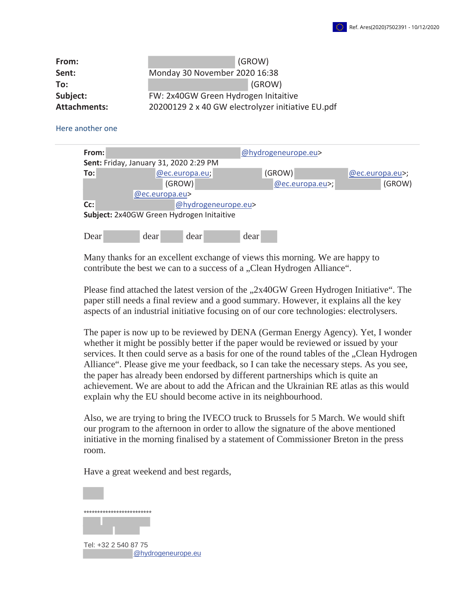| From:               |                                                   | (GROW) |  |  |  |
|---------------------|---------------------------------------------------|--------|--|--|--|
| Sent:               | Monday 30 November 2020 16:38                     |        |  |  |  |
| To:                 |                                                   | (GROW) |  |  |  |
| Subject:            | FW: 2x40GW Green Hydrogen Initaitive              |        |  |  |  |
| <b>Attachments:</b> | 20200129 2 x 40 GW electrolyzer initiative EU.pdf |        |  |  |  |

## Here another one

| From:                                     |                |                     |                |      | @hydrogeneurope.eu> |  |                   |  |  |
|-------------------------------------------|----------------|---------------------|----------------|------|---------------------|--|-------------------|--|--|
| Sent: Friday, January 31, 2020 2:29 PM    |                |                     |                |      |                     |  |                   |  |  |
| To:                                       |                |                     | @ec.europa.eu; |      | (GROW)              |  | $@ec.europa.eu$ ; |  |  |
|                                           |                | (GROW)              |                |      | $ @$ ec.europa.eu>; |  | (GROW)            |  |  |
|                                           | @ec.europa.eu> |                     |                |      |                     |  |                   |  |  |
| Cc:                                       |                | @hydrogeneurope.eu> |                |      |                     |  |                   |  |  |
| Subject: 2x40GW Green Hydrogen Initaitive |                |                     |                |      |                     |  |                   |  |  |
|                                           |                |                     |                |      |                     |  |                   |  |  |
| Dear                                      |                | dear                | dear           | dear |                     |  |                   |  |  |

Many thanks for an excellent exchange of views this morning. We are happy to contribute the best we can to a success of a "Clean Hydrogen Alliance".

Please find attached the latest version of the "2x40GW Green Hydrogen Initiative". The paper still needs a final review and a good summary. However, it explains all the key aspects of an industrial initiative focusing on of our core technologies: electrolysers.

The paper is now up to be reviewed by DENA (German Energy Agency). Yet, I wonder whether it might be possibly better if the paper would be reviewed or issued by your services. It then could serve as a basis for one of the round tables of the "Clean Hydrogen Alliance". Please give me your feedback, so I can take the necessary steps. As you see, the paper has already been endorsed by different partnerships which is quite an achievement. We are about to add the African and the Ukrainian RE atlas as this would explain why the EU should become active in its neighbourhood.

Also, we are trying to bring the IVECO truck to Brussels for 5 March. We would shift our program to the afternoon in order to allow the signature of the above mentioned initiative in the morning finalised by a statement of Commissioner Breton in the press room.

Have a great weekend and best regards,